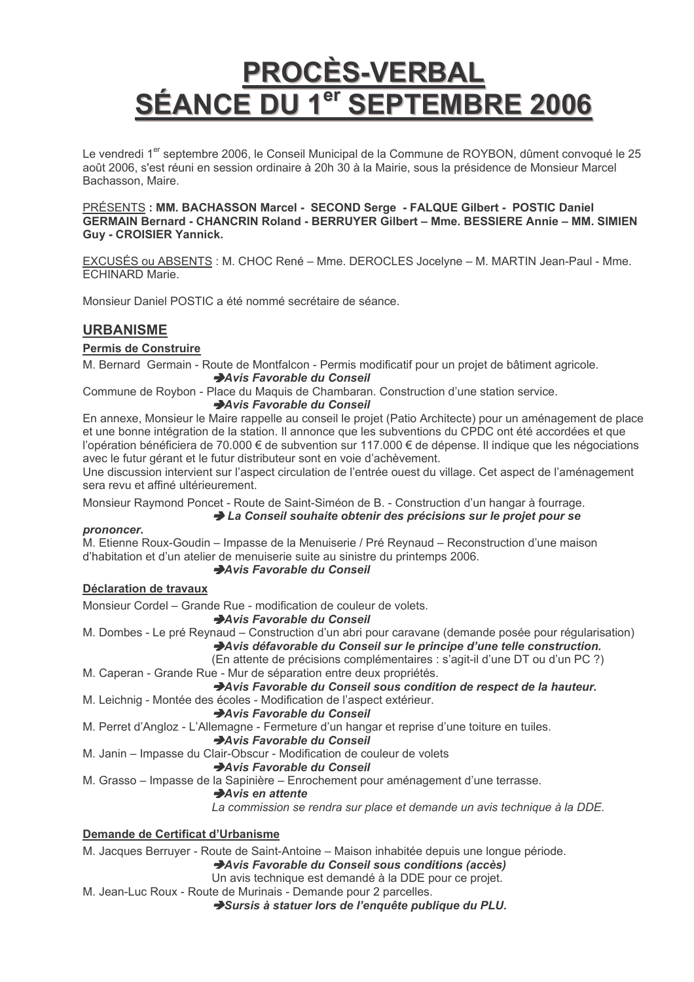## **PROCÈS-VERBAL SÉANCE DU 1** <sup>er</sup> SEPTEMBRE 2006

Le vendredi 1<sup>er</sup> septembre 2006, le Conseil Municipal de la Commune de ROYBON, dûment convoqué le 25 août 2006, s'est réuni en session ordinaire à 20h 30 à la Mairie, sous la présidence de Monsieur Marcel Bachasson, Maire.

PRÉSENTS : MM. BACHASSON Marcel - SECOND Serge - FALQUE Gilbert - POSTIC Daniel GERMAIN Bernard - CHANCRIN Roland - BERRUYER Gilbert - Mme. BESSIERE Annie - MM. SIMIEN **Guy - CROISIER Yannick.** 

EXCUSÉS ou ABSENTS : M. CHOC René - Mme. DEROCLES Jocelyne - M. MARTIN Jean-Paul - Mme. **ECHINARD Marie.** 

Monsieur Daniel POSTIC a été nommé secrétaire de séance.

## **URBANISME**

## **Permis de Construire**

M. Bernard Germain - Route de Montfalcon - Permis modificatif pour un projet de bâtiment agricole. Avis Favorable du Conseil

Commune de Roybon - Place du Maguis de Chambaran, Construction d'une station service.

## Avis Favorable du Conseil

En annexe, Monsieur le Maire rappelle au conseil le projet (Patio Architecte) pour un aménagement de place et une bonne intégration de la station. Il annonce que les subventions du CPDC ont été accordées et que l'opération bénéficiera de 70.000 € de subvention sur 117.000 € de dépense. Il indique que les négociations avec le futur gérant et le futur distributeur sont en voie d'achèvement.

Une discussion intervient sur l'aspect circulation de l'entrée ouest du village. Cet aspect de l'aménagement sera revu et affiné ultérieurement.

Monsieur Raymond Poncet - Route de Saint-Siméon de B. - Construction d'un hangar à fourrage.

## La Conseil souhaite obtenir des précisions sur le projet pour se

## prononcer.

M. Etienne Roux-Goudin – Impasse de la Menuiserie / Pré Reynaud – Reconstruction d'une maison d'habitation et d'un atelier de menuiserie suite au sinistre du printemps 2006.

## Avis Favorable du Conseil

## Déclaration de travaux

Monsieur Cordel – Grande Rue - modification de couleur de volets.

Avis Favorable du Conseil

M. Dombes - Le pré Revnaud – Construction d'un abri pour caravane (demande posée pour régularisation)

Avis défavorable du Conseil sur le principe d'une telle construction.

(En attente de précisions complémentaires : s'agit-il d'une DT ou d'un PC ?)

M. Caperan - Grande Rue - Mur de séparation entre deux propriétés.

Avis Favorable du Conseil sous condition de respect de la hauteur.

- M. Leichnig Montée des écoles Modification de l'aspect extérieur.
	- Avis Favorable du Conseil
- M. Perret d'Angloz L'Allemagne Fermeture d'un hangar et reprise d'une toiture en tuiles.

## Avis Favorable du Conseil

M. Janin - Impasse du Clair-Obscur - Modification de couleur de volets

## Avis Favorable du Conseil

M. Grasso – Impasse de la Sapinière – Enrochement pour aménagement d'une terrasse.

## Avis en attente

La commission se rendra sur place et demande un avis technique à la DDE.

## Demande de Certificat d'Urbanisme

M. Jacques Berruver - Route de Saint-Antoine – Maison inhabitée depuis une longue période. Avis Favorable du Conseil sous conditions (accès)

Un avis technique est demandé à la DDE pour ce projet.

M. Jean-Luc Roux - Route de Murinais - Demande pour 2 parcelles.

→ Sursis à statuer lors de l'enquête publique du PLU.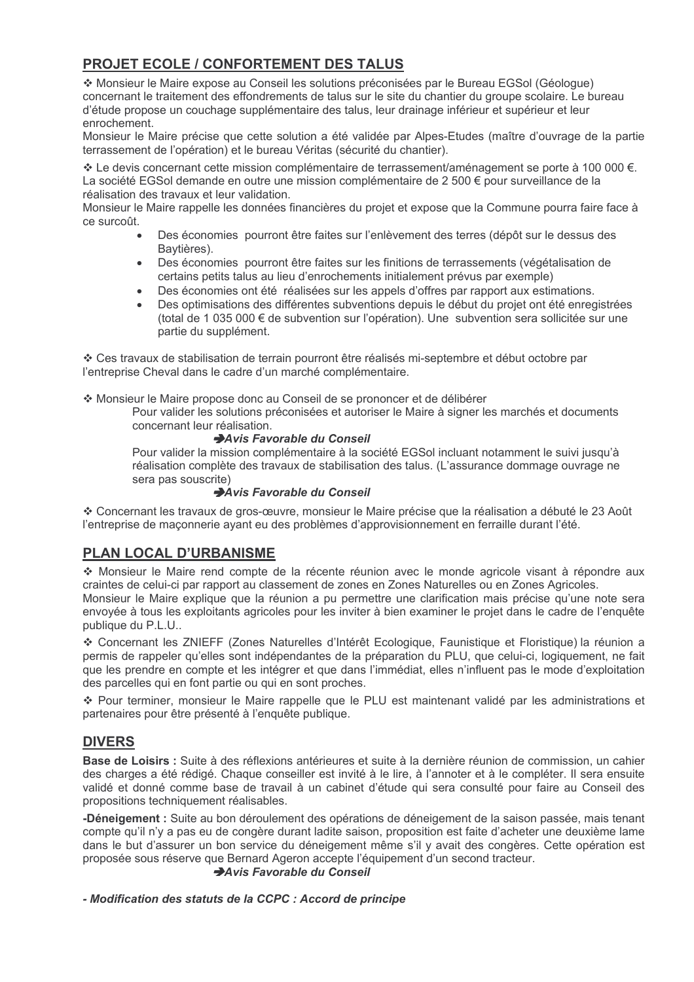## **PROJET ECOLE / CONFORTEMENT DES TALUS**

\* Monsieur le Maire expose au Conseil les solutions préconisées par le Bureau EGSol (Géologue) concernant le traitement des effondrements de talus sur le site du chantier du groupe scolaire. Le bureau d'étude propose un couchage supplémentaire des talus, leur drainage inférieur et supérieur et leur enrochement.

Monsieur le Maire précise que cette solution a été validée par Alpes-Etudes (maître d'ouvrage de la partie terrassement de l'opération) et le bureau Véritas (sécurité du chantier).

\* Le devis concernant cette mission complémentaire de terrassement/aménagement se porte à 100 000 €. La société EGSol demande en outre une mission complémentaire de 2 500 € pour surveillance de la réalisation des travaux et leur validation.

Monsieur le Maire rappelle les données financières du projet et expose que la Commune pourra faire face à ce surcoût.

- Des économies pourront être faites sur l'enlèvement des terres (dépôt sur le dessus des Baytières).
- Des économies pourront être faites sur les finitions de terrassements (végétalisation de  $\bullet$ certains petits talus au lieu d'enrochements initialement prévus par exemple)
- Des économies ont été réalisées sur les appels d'offres par rapport aux estimations.
- Des optimisations des différentes subventions depuis le début du projet ont été enregistrées (total de 1 035 000 € de subvention sur l'opération). Une subvention sera sollicitée sur une partie du supplément.

❖ Ces travaux de stabilisation de terrain pourront être réalisés mi-septembre et début octobre par l'entreprise Cheval dans le cadre d'un marché complémentaire.

❖ Monsieur le Maire propose donc au Conseil de se prononcer et de délibérer

Pour valider les solutions préconisées et autoriser le Maire à signer les marchés et documents concernant leur réalisation.

## Avis Favorable du Conseil

Pour valider la mission complémentaire à la société EGSol incluant notamment le suivi jusqu'à réalisation complète des travaux de stabilisation des talus. (L'assurance dommage ouvrage ne sera pas souscrite)

## Avis Favorable du Conseil

❖ Concernant les travaux de gros-œuvre, monsieur le Maire précise que la réalisation a débuté le 23 Août l'entreprise de maçonnerie ayant eu des problèmes d'approvisionnement en ferraille durant l'été.

## **PLAN LOCAL D'URBANISME**

\* Monsieur le Maire rend compte de la récente réunion avec le monde agricole visant à répondre aux craintes de celui-ci par rapport au classement de zones en Zones Naturelles ou en Zones Agricoles. Monsieur le Maire explique que la réunion a pu permettre une clarification mais précise qu'une note sera

envoyée à tous les exploitants agricoles pour les inviter à bien examiner le projet dans le cadre de l'enguête publique du P.L.U..

\* Concernant les ZNIEFF (Zones Naturelles d'Intérêt Ecologique, Faunistique et Floristique) la réunion a permis de rappeler qu'elles sont indépendantes de la préparation du PLU, que celui-ci, logiquement, ne fait que les prendre en compte et les intégrer et que dans l'immédiat, elles n'influent pas le mode d'exploitation des parcelles qui en font partie ou qui en sont proches.

❖ Pour terminer, monsieur le Maire rappelle que le PLU est maintenant validé par les administrations et partenaires pour être présenté à l'enquête publique.

## **DIVERS**

Base de Loisirs : Suite à des réflexions antérieures et suite à la dernière réunion de commission, un cahier des charges a été rédigé. Chaque conseiller est invité à le lire, à l'annoter et à le compléter. Il sera ensuite validé et donné comme base de travail à un cabinet d'étude qui sera consulté pour faire au Conseil des propositions techniquement réalisables.

-Déneigement : Suite au bon déroulement des opérations de déneigement de la saison passée, mais tenant compte qu'il n'y a pas eu de congère durant ladite saison, proposition est faite d'acheter une deuxième lame dans le but d'assurer un bon service du déneigement même s'il y avait des congères. Cette opération est proposée sous réserve que Bernard Ageron accepte l'équipement d'un second tracteur. Avis Favorable du Conseil

## - Modification des statuts de la CCPC : Accord de principe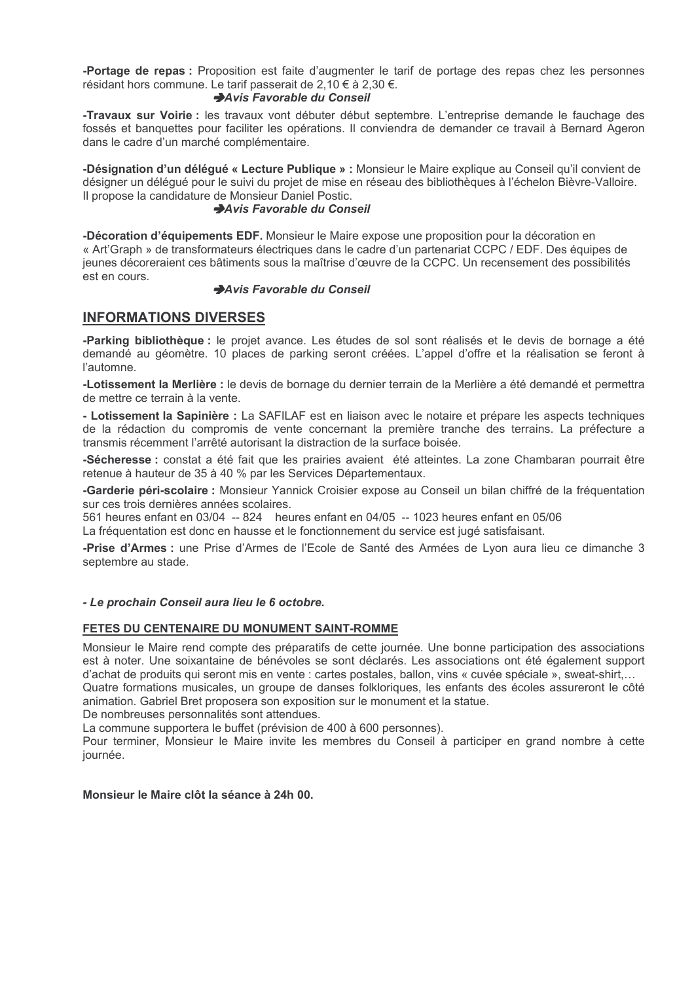-Portage de repas : Proposition est faite d'augmenter le tarif de portage des repas chez les personnes résidant hors commune. Le tarif passerait de 2,10 € à 2,30 €.

## Avis Favorable du Conseil

-Travaux sur Voirie : les travaux vont débuter début septembre. L'entreprise demande le fauchage des fossés et banquettes pour faciliter les opérations. Il conviendra de demander ce travail à Bernard Ageron dans le cadre d'un marché complémentaire.

-Désignation d'un délégué « Lecture Publique » : Monsieur le Maire explique au Conseil qu'il convient de désigner un déléqué pour le suivi du projet de mise en réseau des bibliothèques à l'échelon Bièvre-Valloire. Il propose la candidature de Monsieur Daniel Postic.

## Avis Favorable du Conseil

-Décoration d'équipements EDF. Monsieur le Maire expose une proposition pour la décoration en « Art'Graph » de transformateurs électriques dans le cadre d'un partenariat CCPC / EDF. Des équipes de jeunes décoreraient ces bâtiments sous la maîtrise d'œuvre de la CCPC. Un recensement des possibilités est en cours.

## Avis Favorable du Conseil

## **INFORMATIONS DIVERSES**

-Parking bibliothèque : le projet avance. Les études de sol sont réalisés et le devis de bornage a été demandé au géomètre. 10 places de parking seront créées. L'appel d'offre et la réalisation se feront à l'automne

-Lotissement la Merlière : le devis de bornage du dernier terrain de la Merlière a été demandé et permettra de mettre ce terrain à la vente.

- Lotissement la Sapinière : La SAFILAF est en liaison avec le notaire et prépare les aspects techniques de la rédaction du compromis de vente concernant la première tranche des terrains. La préfecture a transmis récemment l'arrêté autorisant la distraction de la surface boisée.

-Sécheresse : constat a été fait que les prairies avaient été atteintes. La zone Chambaran pourrait être retenue à hauteur de 35 à 40 % par les Services Départementaux.

-Garderie péri-scolaire : Monsieur Yannick Croisier expose au Conseil un bilan chiffré de la fréquentation sur ces trois dernières années scolaires.

561 heures enfant en 03/04 -- 824 heures enfant en 04/05 -- 1023 heures enfant en 05/06

La fréquentation est donc en hausse et le fonctionnement du service est jugé satisfaisant.

-Prise d'Armes : une Prise d'Armes de l'Ecole de Santé des Armées de Lyon aura lieu ce dimanche 3 septembre au stade.

#### - Le prochain Conseil aura lieu le 6 octobre.

## FETES DU CENTENAIRE DU MONUMENT SAINT-ROMME

Monsieur le Maire rend compte des préparatifs de cette journée. Une bonne participation des associations est à noter. Une soixantaine de bénévoles se sont déclarés. Les associations ont été également support d'achat de produits qui seront mis en vente : cartes postales, ballon, vins « cuvée spéciale », sweat-shirt.... Quatre formations musicales, un groupe de danses folkloriques, les enfants des écoles assureront le côté animation. Gabriel Bret proposera son exposition sur le monument et la statue.

De nombreuses personnalités sont attendues.

La commune supportera le buffet (prévision de 400 à 600 personnes).

Pour terminer, Monsieur le Maire invite les membres du Conseil à participer en grand nombre à cette journée.

#### Monsieur le Maire clôt la séance à 24h 00.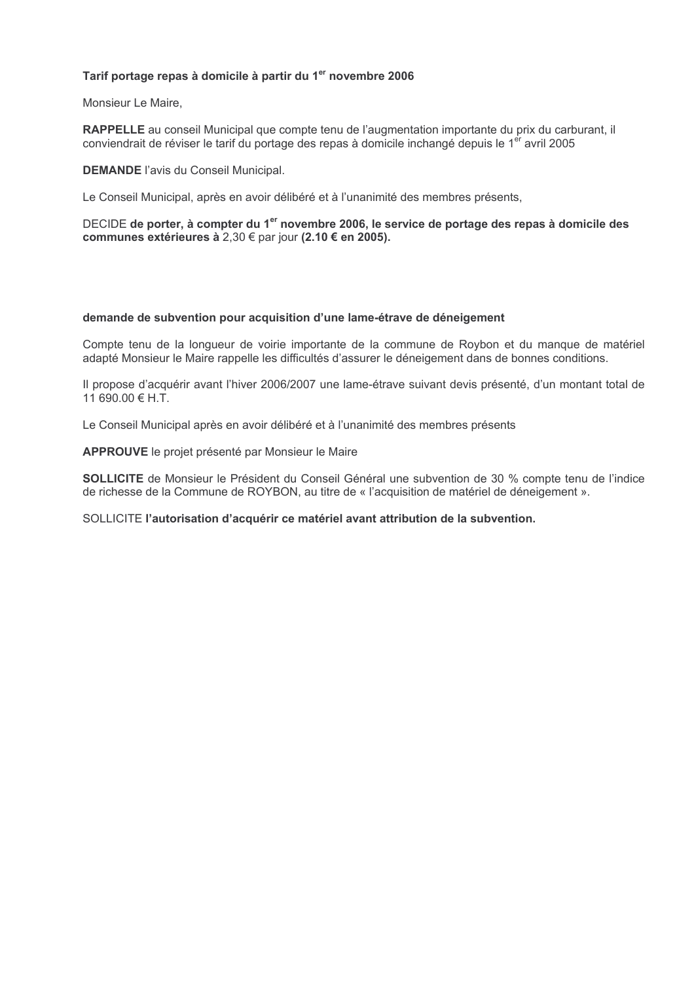## Tarif portage repas à domicile à partir du 1<sup>er</sup> novembre 2006

Monsieur Le Maire,

RAPPELLE au conseil Municipal que compte tenu de l'augmentation importante du prix du carburant, il conviendrait de réviser le tarif du portage des repas à domicile inchangé depuis le 1<sup>er</sup> avril 2005

**DEMANDE** l'avis du Conseil Municipal.

Le Conseil Municipal, après en avoir délibéré et à l'unanimité des membres présents,

DECIDE de porter, à compter du 1<sup>er</sup> novembre 2006, le service de portage des repas à domicile des communes extérieures à 2,30 € par jour (2.10 € en 2005).

#### demande de subvention pour acquisition d'une lame-étrave de déneigement

Compte tenu de la longueur de voirie importante de la commune de Roybon et du manque de matériel adapté Monsieur le Maire rappelle les difficultés d'assurer le déneigement dans de bonnes conditions.

Il propose d'acquérir avant l'hiver 2006/2007 une lame-étrave suivant devis présenté, d'un montant total de  $11690.00 \in H.T.$ 

Le Conseil Municipal après en avoir délibéré et à l'unanimité des membres présents

APPROUVE le projet présenté par Monsieur le Maire

SOLLICITE de Monsieur le Président du Conseil Général une subvention de 30 % compte tenu de l'indice de richesse de la Commune de ROYBON, au titre de « l'acquisition de matériel de déneigement ».

SOLLICITE l'autorisation d'acquérir ce matériel avant attribution de la subvention.